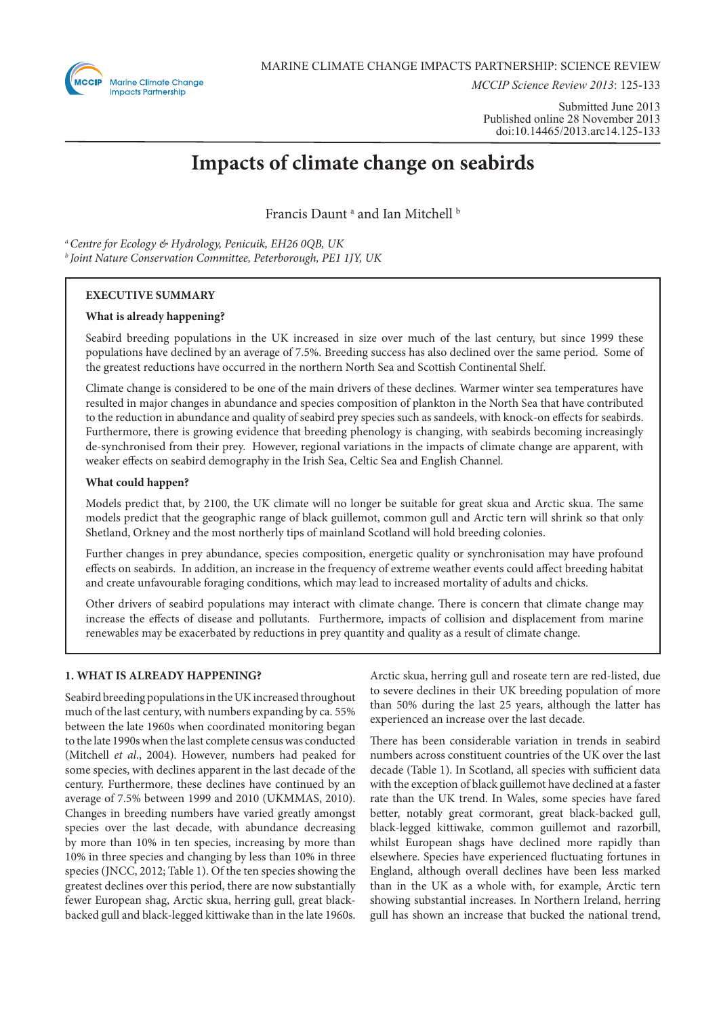

*MCCIP Science Review 2013*: 125-133

Submitted June 2013 Published online 28 November 2013 doi:10.14465/2013.arc14.125-133

# **Impacts of climate change on seabirds**

Francis Daunt<sup>a</sup> and Ian Mitchell<sup>b</sup>

*a Centre for Ecology & Hydrology, Penicuik, EH26 0QB, UK b Joint Nature Conservation Committee, Peterborough, PE1 1JY, UK*

## **EXECUTIVE SUMMARY**

## **What is already happening?**

Seabird breeding populations in the UK increased in size over much of the last century, but since 1999 these populations have declined by an average of 7.5%. Breeding success has also declined over the same period. Some of the greatest reductions have occurred in the northern North Sea and Scottish Continental Shelf.

Climate change is considered to be one of the main drivers of these declines. Warmer winter sea temperatures have resulted in major changes in abundance and species composition of plankton in the North Sea that have contributed to the reduction in abundance and quality of seabird prey species such as sandeels, with knock-on effects for seabirds. Furthermore, there is growing evidence that breeding phenology is changing, with seabirds becoming increasingly de-synchronised from their prey. However, regional variations in the impacts of climate change are apparent, with weaker effects on seabird demography in the Irish Sea, Celtic Sea and English Channel.

### **What could happen?**

Models predict that, by 2100, the UK climate will no longer be suitable for great skua and Arctic skua. The same models predict that the geographic range of black guillemot, common gull and Arctic tern will shrink so that only Shetland, Orkney and the most northerly tips of mainland Scotland will hold breeding colonies.

Further changes in prey abundance, species composition, energetic quality or synchronisation may have profound effects on seabirds. In addition, an increase in the frequency of extreme weather events could affect breeding habitat and create unfavourable foraging conditions, which may lead to increased mortality of adults and chicks.

Other drivers of seabird populations may interact with climate change. There is concern that climate change may increase the effects of disease and pollutants. Furthermore, impacts of collision and displacement from marine renewables may be exacerbated by reductions in prey quantity and quality as a result of climate change.

## **1. WHAT IS ALREADY HAPPENING?**

Seabird breeding populations in the UK increased throughout much of the last century, with numbers expanding by ca. 55% between the late 1960s when coordinated monitoring began to the late 1990s when the last complete census was conducted (Mitchell *et al*., 2004). However, numbers had peaked for some species, with declines apparent in the last decade of the century. Furthermore, these declines have continued by an average of 7.5% between 1999 and 2010 (UKMMAS, 2010). Changes in breeding numbers have varied greatly amongst species over the last decade, with abundance decreasing by more than 10% in ten species, increasing by more than 10% in three species and changing by less than 10% in three species (JNCC, 2012; Table 1). Of the ten species showing the greatest declines over this period, there are now substantially fewer European shag, Arctic skua, herring gull, great blackbacked gull and black-legged kittiwake than in the late 1960s.

Arctic skua, herring gull and roseate tern are red-listed, due to severe declines in their UK breeding population of more than 50% during the last 25 years, although the latter has experienced an increase over the last decade.

There has been considerable variation in trends in seabird numbers across constituent countries of the UK over the last decade (Table 1). In Scotland, all species with sufficient data with the exception of black guillemot have declined at a faster rate than the UK trend. In Wales, some species have fared better, notably great cormorant, great black-backed gull, black-legged kittiwake, common guillemot and razorbill, whilst European shags have declined more rapidly than elsewhere. Species have experienced fluctuating fortunes in England, although overall declines have been less marked than in the UK as a whole with, for example, Arctic tern showing substantial increases. In Northern Ireland, herring gull has shown an increase that bucked the national trend,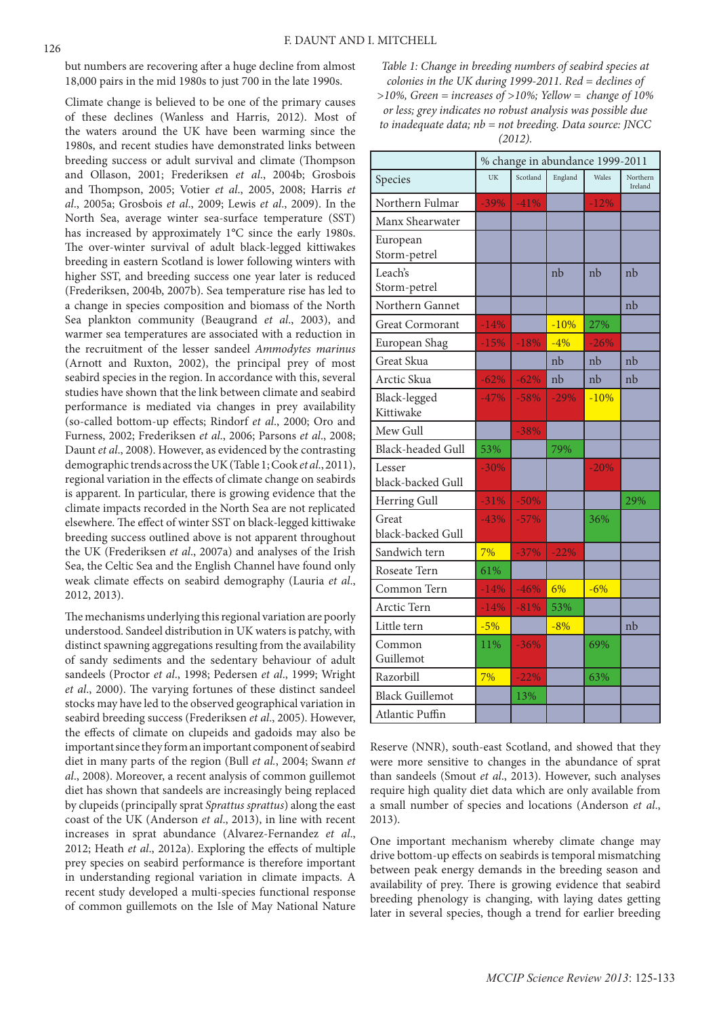but numbers are recovering after a huge decline from almost 18,000 pairs in the mid 1980s to just 700 in the late 1990s.

Climate change is believed to be one of the primary causes of these declines (Wanless and Harris, 2012). Most of the waters around the UK have been warming since the 1980s, and recent studies have demonstrated links between breeding success or adult survival and climate (Thompson and Ollason, 2001; Frederiksen *et al*., 2004b; Grosbois and Thompson, 2005; Votier *et al*., 2005, 2008; Harris *et al*., 2005a; Grosbois *et al*., 2009; Lewis *et al*., 2009). In the North Sea, average winter sea-surface temperature (SST) has increased by approximately 1°C since the early 1980s. The over-winter survival of adult black-legged kittiwakes breeding in eastern Scotland is lower following winters with higher SST, and breeding success one year later is reduced (Frederiksen, 2004b, 2007b). Sea temperature rise has led to a change in species composition and biomass of the North Sea plankton community (Beaugrand *et al*., 2003), and warmer sea temperatures are associated with a reduction in the recruitment of the lesser sandeel *Ammodytes marinus* (Arnott and Ruxton, 2002), the principal prey of most seabird species in the region. In accordance with this, several studies have shown that the link between climate and seabird performance is mediated via changes in prey availability (so-called bottom-up effects; Rindorf *et al*., 2000; Oro and Furness, 2002; Frederiksen *et al*., 2006; Parsons *et al*., 2008; Daunt *et al*., 2008). However, as evidenced by the contrasting demographic trends across the UK (Table 1; Cook *et al*., 2011), regional variation in the effects of climate change on seabirds is apparent. In particular, there is growing evidence that the climate impacts recorded in the North Sea are not replicated elsewhere. The effect of winter SST on black-legged kittiwake breeding success outlined above is not apparent throughout the UK (Frederiksen *et al*., 2007a) and analyses of the Irish Sea, the Celtic Sea and the English Channel have found only weak climate effects on seabird demography (Lauria *et al*., 2012, 2013).

The mechanisms underlying this regional variation are poorly understood. Sandeel distribution in UK waters is patchy, with distinct spawning aggregations resulting from the availability of sandy sediments and the sedentary behaviour of adult sandeels (Proctor *et al*., 1998; Pedersen *et al*., 1999; Wright *et al*., 2000). The varying fortunes of these distinct sandeel stocks may have led to the observed geographical variation in seabird breeding success (Frederiksen *et al*., 2005). However, the effects of climate on clupeids and gadoids may also be important since they form an important component of seabird diet in many parts of the region (Bull *et al.*, 2004; Swann *et al*., 2008). Moreover, a recent analysis of common guillemot diet has shown that sandeels are increasingly being replaced by clupeids (principally sprat *Sprattus sprattus*) along the east coast of the UK (Anderson *et al*., 2013), in line with recent increases in sprat abundance (Alvarez-Fernandez *et al*., 2012; Heath *et al*., 2012a). Exploring the effects of multiple prey species on seabird performance is therefore important in understanding regional variation in climate impacts. A recent study developed a multi-species functional response of common guillemots on the Isle of May National Nature

*Table 1: Change in breeding numbers of seabird species at colonies in the UK during 1999-2011. Red = declines of >10%, Green = increases of >10%; Yellow = change of 10%* 

*or less; grey indicates no robust analysis was possible due to inadequate data; nb = not breeding. Data source: JNCC* 

*(2012).*

|                             | % change in abundance 1999-2011 |          |         |        |                     |
|-----------------------------|---------------------------------|----------|---------|--------|---------------------|
| Species                     | UK                              | Scotland | England | Wales  | Northern<br>Ireland |
| Northern Fulmar             | $-39%$                          | $-41%$   |         | $-12%$ |                     |
| Manx Shearwater             |                                 |          |         |        |                     |
| European<br>Storm-petrel    |                                 |          |         |        |                     |
| Leach's<br>Storm-petrel     |                                 |          | nb      | nb     | nb                  |
| Northern Gannet             |                                 |          |         |        | nb                  |
| <b>Great Cormorant</b>      | $-14%$                          |          | $-10%$  | 27%    |                     |
| European Shag               | $-15%$                          | $-18%$   | $-4%$   | $-26%$ |                     |
| Great Skua                  |                                 |          | nb      | nb     | nh                  |
| Arctic Skua                 | $-62%$                          | $-62%$   | nb      | nb     | nb                  |
| Black-legged<br>Kittiwake   | $-47%$                          | $-58%$   | $-29%$  | $-10%$ |                     |
| Mew Gull                    |                                 | $-38%$   |         |        |                     |
| <b>Black-headed Gull</b>    | 53%                             |          | 79%     |        |                     |
| Lesser<br>black-backed Gull | $-30%$                          |          |         | $-20%$ |                     |
| Herring Gull                | $-31%$                          | $-50%$   |         |        | 29%                 |
| Great<br>black-backed Gull  | $-43%$                          | $-57%$   |         | 36%    |                     |
| Sandwich tern               | 7%                              | $-37%$   | $-22%$  |        |                     |
| Roseate Tern                | 61%                             |          |         |        |                     |
| Common Tern                 | $-14%$                          | $-46%$   | 6%      | $-6%$  |                     |
| Arctic Tern                 | $-14%$                          | $-81%$   | 53%     |        |                     |
| Little tern                 | $-5%$                           |          | $-8%$   |        | nb                  |
| Common<br>Guillemot         | 11%                             | $-36%$   |         | 69%    |                     |
| Razorbill                   | 7%                              | $-22%$   |         | 63%    |                     |
| <b>Black Guillemot</b>      |                                 | 13%      |         |        |                     |
| Atlantic Puffin             |                                 |          |         |        |                     |

Reserve (NNR), south-east Scotland, and showed that they were more sensitive to changes in the abundance of sprat than sandeels (Smout *et al*., 2013). However, such analyses require high quality diet data which are only available from a small number of species and locations (Anderson *et al*., 2013).

One important mechanism whereby climate change may drive bottom-up effects on seabirds is temporal mismatching between peak energy demands in the breeding season and availability of prey. There is growing evidence that seabird breeding phenology is changing, with laying dates getting later in several species, though a trend for earlier breeding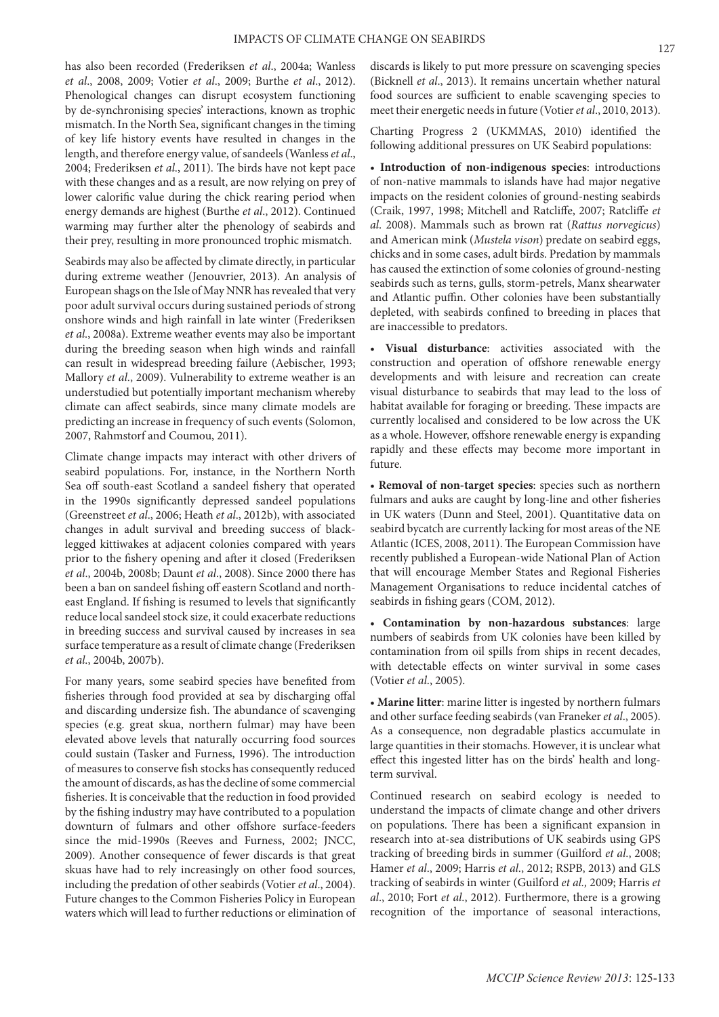has also been recorded (Frederiksen *et al*., 2004a; Wanless *et al*., 2008, 2009; Votier *et al*., 2009; Burthe *et al*., 2012). Phenological changes can disrupt ecosystem functioning by de-synchronising species' interactions, known as trophic mismatch. In the North Sea, significant changes in the timing of key life history events have resulted in changes in the length, and therefore energy value, of sandeels (Wanless *et al*., 2004; Frederiksen *et al*., 2011). The birds have not kept pace with these changes and as a result, are now relying on prey of lower calorific value during the chick rearing period when energy demands are highest (Burthe *et al*., 2012). Continued warming may further alter the phenology of seabirds and their prey, resulting in more pronounced trophic mismatch.

Seabirds may also be affected by climate directly, in particular during extreme weather (Jenouvrier, 2013). An analysis of European shags on the Isle of May NNR has revealed that very poor adult survival occurs during sustained periods of strong onshore winds and high rainfall in late winter (Frederiksen *et al*., 2008a). Extreme weather events may also be important during the breeding season when high winds and rainfall can result in widespread breeding failure (Aebischer, 1993; Mallory *et al*., 2009). Vulnerability to extreme weather is an understudied but potentially important mechanism whereby climate can affect seabirds, since many climate models are predicting an increase in frequency of such events (Solomon, 2007, Rahmstorf and Coumou, 2011).

Climate change impacts may interact with other drivers of seabird populations. For, instance, in the Northern North Sea off south-east Scotland a sandeel fishery that operated in the 1990s significantly depressed sandeel populations (Greenstreet *et al*., 2006; Heath *et al*., 2012b), with associated changes in adult survival and breeding success of blacklegged kittiwakes at adjacent colonies compared with years prior to the fishery opening and after it closed (Frederiksen *et al*., 2004b, 2008b; Daunt *et al*., 2008). Since 2000 there has been a ban on sandeel fishing off eastern Scotland and northeast England. If fishing is resumed to levels that significantly reduce local sandeel stock size, it could exacerbate reductions in breeding success and survival caused by increases in sea surface temperature as a result of climate change (Frederiksen *et al*., 2004b, 2007b).

For many years, some seabird species have benefited from fisheries through food provided at sea by discharging offal and discarding undersize fish. The abundance of scavenging species (e.g. great skua, northern fulmar) may have been elevated above levels that naturally occurring food sources could sustain (Tasker and Furness, 1996). The introduction of measures to conserve fish stocks has consequently reduced the amount of discards, as has the decline of some commercial fisheries. It is conceivable that the reduction in food provided by the fishing industry may have contributed to a population downturn of fulmars and other offshore surface-feeders since the mid-1990s (Reeves and Furness, 2002; JNCC, 2009). Another consequence of fewer discards is that great skuas have had to rely increasingly on other food sources, including the predation of other seabirds (Votier *et al*., 2004). Future changes to the Common Fisheries Policy in European waters which will lead to further reductions or elimination of discards is likely to put more pressure on scavenging species (Bicknell *et al*., 2013). It remains uncertain whether natural food sources are sufficient to enable scavenging species to meet their energetic needs in future (Votier *et al*., 2010, 2013).

Charting Progress 2 (UKMMAS, 2010) identified the following additional pressures on UK Seabird populations:

• **Introduction of non-indigenous species**: introductions of non-native mammals to islands have had major negative impacts on the resident colonies of ground-nesting seabirds (Craik, 1997, 1998; Mitchell and Ratcliffe, 2007; Ratcliffe *et al*. 2008). Mammals such as brown rat (*Rattus norvegicus*) and American mink (*Mustela vison*) predate on seabird eggs, chicks and in some cases, adult birds. Predation by mammals has caused the extinction of some colonies of ground-nesting seabirds such as terns, gulls, storm-petrels, Manx shearwater and Atlantic puffin. Other colonies have been substantially depleted, with seabirds confined to breeding in places that are inaccessible to predators.

• **Visual disturbance**: activities associated with the construction and operation of offshore renewable energy developments and with leisure and recreation can create visual disturbance to seabirds that may lead to the loss of habitat available for foraging or breeding. These impacts are currently localised and considered to be low across the UK as a whole. However, offshore renewable energy is expanding rapidly and these effects may become more important in future.

• **Removal of non-target species**: species such as northern fulmars and auks are caught by long-line and other fisheries in UK waters (Dunn and Steel, 2001). Quantitative data on seabird bycatch are currently lacking for most areas of the NE Atlantic (ICES, 2008, 2011). The European Commission have recently published a European-wide National Plan of Action that will encourage Member States and Regional Fisheries Management Organisations to reduce incidental catches of seabirds in fishing gears (COM, 2012).

• **Contamination by non-hazardous substances**: large numbers of seabirds from UK colonies have been killed by contamination from oil spills from ships in recent decades, with detectable effects on winter survival in some cases (Votier *et al*., 2005).

• **Marine litter**: marine litter is ingested by northern fulmars and other surface feeding seabirds (van Franeker *et al*., 2005). As a consequence, non degradable plastics accumulate in large quantities in their stomachs. However, it is unclear what effect this ingested litter has on the birds' health and longterm survival.

Continued research on seabird ecology is needed to understand the impacts of climate change and other drivers on populations. There has been a significant expansion in research into at-sea distributions of UK seabirds using GPS tracking of breeding birds in summer (Guilford *et al*., 2008; Hamer *et al*., 2009; Harris *et al*., 2012; RSPB, 2013) and GLS tracking of seabirds in winter (Guilford *et al.,* 2009; Harris *et al*., 2010; Fort *et al*., 2012). Furthermore, there is a growing recognition of the importance of seasonal interactions,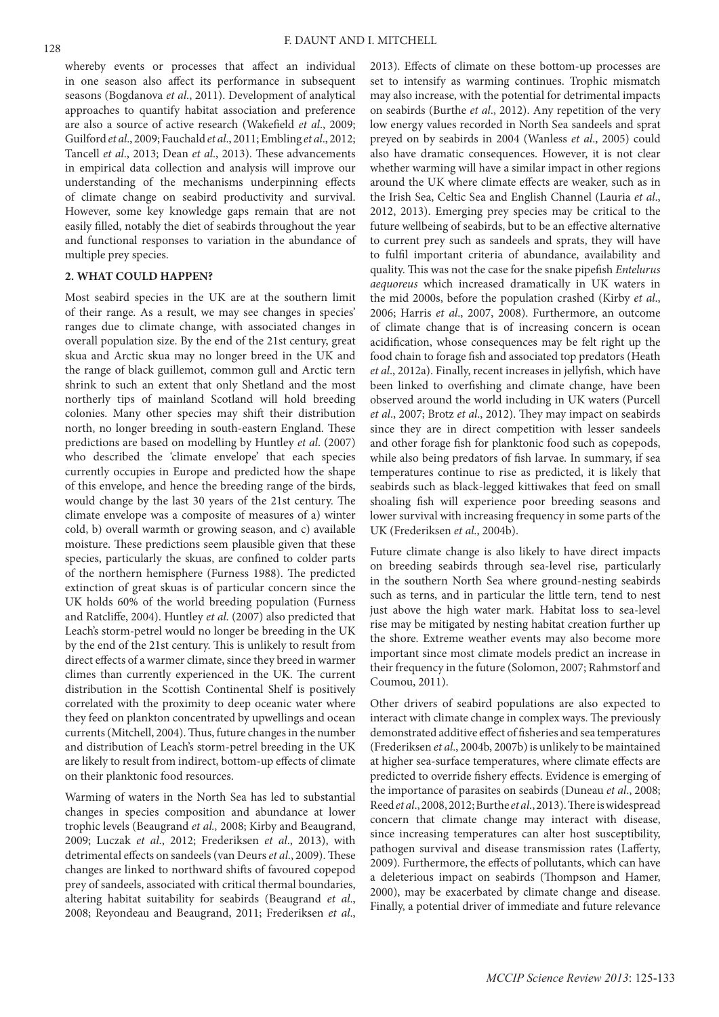whereby events or processes that affect an individual in one season also affect its performance in subsequent seasons (Bogdanova *et al*., 2011). Development of analytical approaches to quantify habitat association and preference are also a source of active research (Wakefield *et al*., 2009; Guilford *et al*., 2009; Fauchald *et al*., 2011; Embling *et al*., 2012; Tancell *et al*., 2013; Dean *et al*., 2013). These advancements in empirical data collection and analysis will improve our understanding of the mechanisms underpinning effects of climate change on seabird productivity and survival. However, some key knowledge gaps remain that are not easily filled, notably the diet of seabirds throughout the year and functional responses to variation in the abundance of multiple prey species.

### **2. WHAT COULD HAPPEN?**

Most seabird species in the UK are at the southern limit of their range. As a result, we may see changes in species' ranges due to climate change, with associated changes in overall population size. By the end of the 21st century, great skua and Arctic skua may no longer breed in the UK and the range of black guillemot, common gull and Arctic tern shrink to such an extent that only Shetland and the most northerly tips of mainland Scotland will hold breeding colonies. Many other species may shift their distribution north, no longer breeding in south-eastern England. These predictions are based on modelling by Huntley *et al*. (2007) who described the 'climate envelope' that each species currently occupies in Europe and predicted how the shape of this envelope, and hence the breeding range of the birds, would change by the last 30 years of the 21st century. The climate envelope was a composite of measures of a) winter cold, b) overall warmth or growing season, and c) available moisture. These predictions seem plausible given that these species, particularly the skuas, are confined to colder parts of the northern hemisphere (Furness 1988). The predicted extinction of great skuas is of particular concern since the UK holds 60% of the world breeding population (Furness and Ratcliffe, 2004). Huntley *et al*. (2007) also predicted that Leach's storm-petrel would no longer be breeding in the UK by the end of the 21st century. This is unlikely to result from direct effects of a warmer climate, since they breed in warmer climes than currently experienced in the UK. The current distribution in the Scottish Continental Shelf is positively correlated with the proximity to deep oceanic water where they feed on plankton concentrated by upwellings and ocean currents (Mitchell, 2004). Thus, future changes in the number and distribution of Leach's storm-petrel breeding in the UK are likely to result from indirect, bottom-up effects of climate on their planktonic food resources.

Warming of waters in the North Sea has led to substantial changes in species composition and abundance at lower trophic levels (Beaugrand *et al.,* 2008; Kirby and Beaugrand, 2009; Luczak *et al*., 2012; Frederiksen *et al*., 2013), with detrimental effects on sandeels (van Deurs *et al*., 2009). These changes are linked to northward shifts of favoured copepod prey of sandeels, associated with critical thermal boundaries, altering habitat suitability for seabirds (Beaugrand *et al*., 2008; Reyondeau and Beaugrand, 2011; Frederiksen *et al*.,

2013). Effects of climate on these bottom-up processes are set to intensify as warming continues. Trophic mismatch may also increase, with the potential for detrimental impacts on seabirds (Burthe *et al*., 2012). Any repetition of the very low energy values recorded in North Sea sandeels and sprat preyed on by seabirds in 2004 (Wanless *et al*., 2005) could also have dramatic consequences. However, it is not clear whether warming will have a similar impact in other regions around the UK where climate effects are weaker, such as in the Irish Sea, Celtic Sea and English Channel (Lauria *et al*., 2012, 2013). Emerging prey species may be critical to the future wellbeing of seabirds, but to be an effective alternative to current prey such as sandeels and sprats, they will have to fulfil important criteria of abundance, availability and quality. This was not the case for the snake pipefish *Entelurus aequoreus* which increased dramatically in UK waters in the mid 2000s, before the population crashed (Kirby *et al*., 2006; Harris *et al*., 2007, 2008). Furthermore, an outcome of climate change that is of increasing concern is ocean acidification, whose consequences may be felt right up the food chain to forage fish and associated top predators (Heath *et al*., 2012a). Finally, recent increases in jellyfish, which have been linked to overfishing and climate change, have been observed around the world including in UK waters (Purcell *et al*., 2007; Brotz *et al*., 2012). They may impact on seabirds since they are in direct competition with lesser sandeels and other forage fish for planktonic food such as copepods, while also being predators of fish larvae. In summary, if sea temperatures continue to rise as predicted, it is likely that seabirds such as black-legged kittiwakes that feed on small shoaling fish will experience poor breeding seasons and lower survival with increasing frequency in some parts of the UK (Frederiksen *et al*., 2004b).

Future climate change is also likely to have direct impacts on breeding seabirds through sea-level rise, particularly in the southern North Sea where ground-nesting seabirds such as terns, and in particular the little tern, tend to nest just above the high water mark. Habitat loss to sea-level rise may be mitigated by nesting habitat creation further up the shore. Extreme weather events may also become more important since most climate models predict an increase in their frequency in the future (Solomon, 2007; Rahmstorf and Coumou, 2011).

Other drivers of seabird populations are also expected to interact with climate change in complex ways. The previously demonstrated additive effect of fisheries and sea temperatures (Frederiksen *et al*., 2004b, 2007b) is unlikely to be maintained at higher sea-surface temperatures, where climate effects are predicted to override fishery effects. Evidence is emerging of the importance of parasites on seabirds (Duneau *et al*., 2008; Reed *et al*., 2008, 2012; Burthe *et al*., 2013). There is widespread concern that climate change may interact with disease, since increasing temperatures can alter host susceptibility, pathogen survival and disease transmission rates (Lafferty, 2009). Furthermore, the effects of pollutants, which can have a deleterious impact on seabirds (Thompson and Hamer, 2000), may be exacerbated by climate change and disease. Finally, a potential driver of immediate and future relevance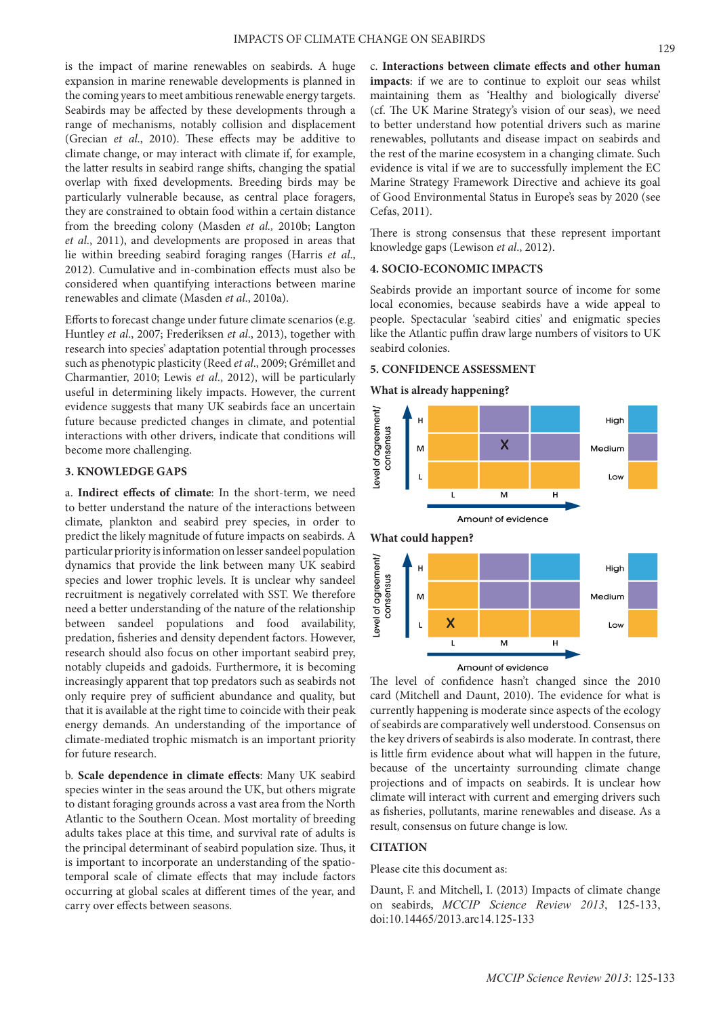is the impact of marine renewables on seabirds. A huge expansion in marine renewable developments is planned in the coming years to meet ambitious renewable energy targets. Seabirds may be affected by these developments through a range of mechanisms, notably collision and displacement (Grecian *et al*., 2010). These effects may be additive to climate change, or may interact with climate if, for example, the latter results in seabird range shifts, changing the spatial overlap with fixed developments. Breeding birds may be particularly vulnerable because, as central place foragers, they are constrained to obtain food within a certain distance from the breeding colony (Masden *et al.,* 2010b; Langton *et al*., 2011), and developments are proposed in areas that lie within breeding seabird foraging ranges (Harris *et al*., 2012). Cumulative and in-combination effects must also be considered when quantifying interactions between marine renewables and climate (Masden *et al*., 2010a).

Efforts to forecast change under future climate scenarios (e.g. Huntley *et al*., 2007; Frederiksen *et al*., 2013), together with research into species' adaptation potential through processes such as phenotypic plasticity (Reed *et al*., 2009; Grémillet and Charmantier, 2010; Lewis *et al*., 2012), will be particularly useful in determining likely impacts. However, the current evidence suggests that many UK seabirds face an uncertain future because predicted changes in climate, and potential interactions with other drivers, indicate that conditions will become more challenging.

## **3. KNOWLEDGE GAPS**

a. **Indirect effects of climate**: In the short-term, we need to better understand the nature of the interactions between climate, plankton and seabird prey species, in order to predict the likely magnitude of future impacts on seabirds. A particular priority is information on lesser sandeel population dynamics that provide the link between many UK seabird species and lower trophic levels. It is unclear why sandeel recruitment is negatively correlated with SST. We therefore need a better understanding of the nature of the relationship between sandeel populations and food availability, predation, fisheries and density dependent factors. However, research should also focus on other important seabird prey, notably clupeids and gadoids. Furthermore, it is becoming increasingly apparent that top predators such as seabirds not only require prey of sufficient abundance and quality, but that it is available at the right time to coincide with their peak energy demands. An understanding of the importance of climate-mediated trophic mismatch is an important priority for future research.

b. **Scale dependence in climate effects**: Many UK seabird species winter in the seas around the UK, but others migrate to distant foraging grounds across a vast area from the North Atlantic to the Southern Ocean. Most mortality of breeding adults takes place at this time, and survival rate of adults is the principal determinant of seabird population size. Thus, it is important to incorporate an understanding of the spatiotemporal scale of climate effects that may include factors occurring at global scales at different times of the year, and carry over effects between seasons.

c. **Interactions between climate effects and other human impacts**: if we are to continue to exploit our seas whilst maintaining them as 'Healthy and biologically diverse' (cf. The UK Marine Strategy's vision of our seas), we need to better understand how potential drivers such as marine renewables, pollutants and disease impact on seabirds and the rest of the marine ecosystem in a changing climate. Such evidence is vital if we are to successfully implement the EC Marine Strategy Framework Directive and achieve its goal of Good Environmental Status in Europe's seas by 2020 (see Cefas, 2011).

There is strong consensus that these represent important knowledge gaps (Lewison *et al*., 2012).

#### **4. SOCIO-ECONOMIC IMPACTS**

Seabirds provide an important source of income for some local economies, because seabirds have a wide appeal to people. Spectacular 'seabird cities' and enigmatic species like the Atlantic puffin draw large numbers of visitors to UK seabird colonies.

#### **5. CONFIDENCE ASSESSMENT**

### **What is already happening?**



The level of confidence hasn't changed since the 2010 card (Mitchell and Daunt, 2010). The evidence for what is currently happening is moderate since aspects of the ecology of seabirds are comparatively well understood. Consensus on the key drivers of seabirds is also moderate. In contrast, there is little firm evidence about what will happen in the future, because of the uncertainty surrounding climate change projections and of impacts on seabirds. It is unclear how climate will interact with current and emerging drivers such as fisheries, pollutants, marine renewables and disease. As a result, consensus on future change is low.

## **CITATION**

### Please cite this document as:

Daunt, F. and Mitchell, I. (2013) Impacts of climate change on seabirds, *MCCIP Science Review 2013*, 125-133, doi:10.14465/2013.arc14.125-133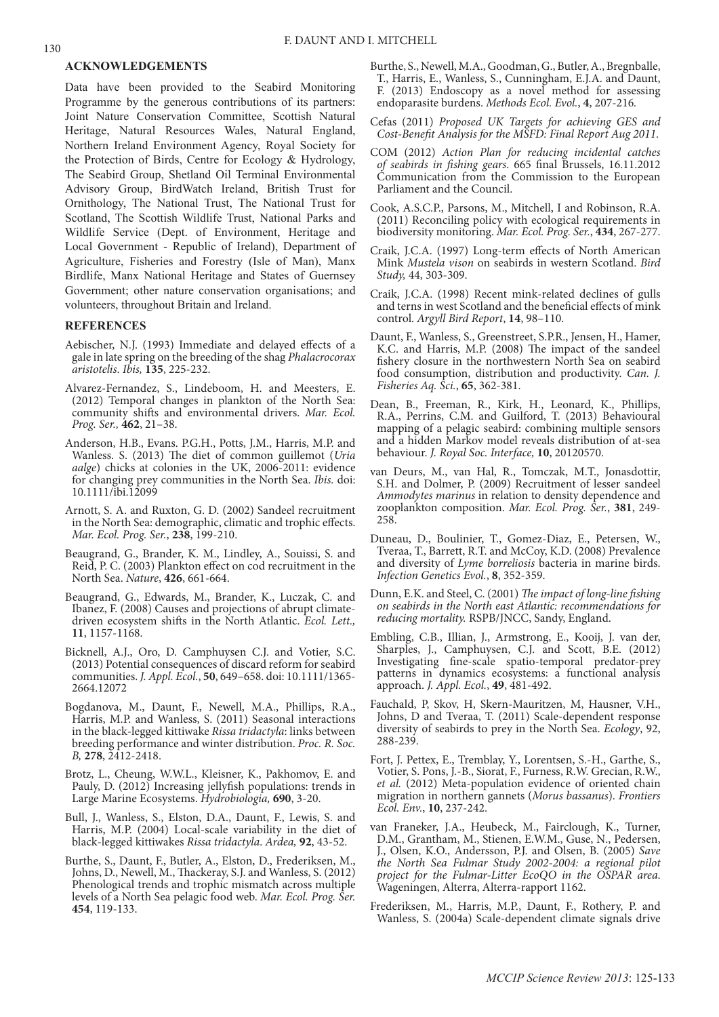#### **ACKNOWLEDGEMENTS**

Data have been provided to the Seabird Monitoring Programme by the generous contributions of its partners: Joint Nature Conservation Committee, Scottish Natural Heritage, Natural Resources Wales, Natural England, Northern Ireland Environment Agency, Royal Society for the Protection of Birds, Centre for Ecology & Hydrology, The Seabird Group, Shetland Oil Terminal Environmental Advisory Group, BirdWatch Ireland, British Trust for Ornithology, The National Trust, The National Trust for Scotland, The Scottish Wildlife Trust, National Parks and Wildlife Service (Dept. of Environment, Heritage and Local Government - Republic of Ireland), Department of Agriculture, Fisheries and Forestry (Isle of Man), Manx Birdlife, Manx National Heritage and States of Guernsey Government; other nature conservation organisations; and volunteers, throughout Britain and Ireland.

#### **REFERENCES**

- Aebischer, N.J. (1993) Immediate and delayed effects of a gale in late spring on the breeding of the shag *Phalacrocorax aristotelis*. *Ibis,* **135**, 225-232.
- Alvarez-Fernandez, S., Lindeboom, H. and Meesters, E. (2012) Temporal changes in plankton of the North Sea: community shifts and environmental drivers. *Mar. Ecol. Prog. Ser.,* **462**, 21–38.
- Anderson, H.B., Evans. P.G.H., Potts, J.M., Harris, M.P. and Wanless. S. (2013) The diet of common guillemot (*Uria aalge*) chicks at colonies in the UK, 2006-2011: evidence for changing prey communities in the North Sea. *Ibis.* doi: 10.1111/ibi.12099
- Arnott, S. A. and Ruxton, G. D. (2002) Sandeel recruitment in the North Sea: demographic, climatic and trophic effects. *Mar. Ecol. Prog. Ser.*, **238**, 199-210.
- Beaugrand, G., Brander, K. M., Lindley, A., Souissi, S. and Reid, P. C. (2003) Plankton effect on cod recruitment in the North Sea. *Nature*, **426**, 661-664.
- Beaugrand, G., Edwards, M., Brander, K., Luczak, C. and Ibanez, F. (2008) Causes and projections of abrupt climatedriven ecosystem shifts in the North Atlantic. *Ecol. Lett.,* **11**, 1157-1168.
- Bicknell, A.J., Oro, D. Camphuysen C.J. and Votier, S.C. (2013) Potential consequences of discard reform for seabird communities. *J. Appl. Ecol.*, **50**, 649–658. doi: 10.1111/1365- 2664.12072
- Bogdanova, M., Daunt, F., Newell, M.A., Phillips, R.A., Harris, M.P. and Wanless, S. (2011) Seasonal interactions in the black-legged kittiwake *Rissa tridactyla*: links between breeding performance and winter distribution. *Proc. R. Soc. B,* **278**, 2412-2418.
- Brotz, L., Cheung, W.W.L., Kleisner, K., Pakhomov, E. and Pauly, D. (2012) Increasing jellyfish populations: trends in Large Marine Ecosystems. *Hydrobiologia,* **690**, 3-20.
- Bull, J., Wanless, S., Elston, D.A., Daunt, F., Lewis, S. and Harris, M.P. (2004) Local-scale variability in the diet of black-legged kittiwakes *Rissa tridactyla*. *Ardea,* **92**, 43-52.
- Burthe, S., Daunt, F., Butler, A., Elston, D., Frederiksen, M., Johns, D., Newell, M., Thackeray, S.J. and Wanless, S. (2012) Phenological trends and trophic mismatch across multiple levels of a North Sea pelagic food web. *Mar. Ecol. Prog. Ser.* **454**, 119-133.
- Burthe, S., Newell, M.A., Goodman, G., Butler, A., Bregnballe, T., Harris, E., Wanless, S., Cunningham, E.J.A. and Daunt, F. (2013) Endoscopy as a novel method for assessing endoparasite burdens. *Methods Ecol. Evol.*, **4**, 207-216*.*
- Cefas (2011) *Proposed UK Targets for achieving GES and Cost‐Benefit Analysis for the MSFD: Final Report Aug 2011*.
- COM (2012) *Action Plan for reducing incidental catches of seabirds in fishing gears*. 665 final Brussels, 16.11.2012 Communication from the Commission to the European Parliament and the Council.
- Cook, A.S.C.P., Parsons, M., Mitchell, I and Robinson, R.A. (2011) Reconciling policy with ecological requirements in biodiversity monitoring. *Mar. Ecol. Prog. Ser.*, **434**, 267-277.
- Craik, J.C.A. (1997) Long-term effects of North American Mink *Mustela vison* on seabirds in western Scotland. *Bird Study,* 44, 303-309.
- Craik, J.C.A. (1998) Recent mink-related declines of gulls and terns in west Scotland and the beneficial effects of mink control. *Argyll Bird Report*, **14**, 98–110.
- Daunt, F., Wanless, S., Greenstreet, S.P.R., Jensen, H., Hamer, K.C. and Harris, M.P. (2008) The impact of the sandeel fishery closure in the northwestern North Sea on seabird food consumption, distribution and productivity. *Can. J. Fisheries Aq. Sci.*, **65**, 362-381.
- Dean, B., Freeman, R., Kirk, H., Leonard, K., Phillips, R.A., Perrins, C.M. and Guilford, T. (2013) Behavioural mapping of a pelagic seabird: combining multiple sensors and a hidden Markov model reveals distribution of at-sea behaviour. *J. Royal Soc. Interface,* **10**, 20120570.
- van Deurs, M., van Hal, R., Tomczak, M.T., Jonasdottir, S.H. and Dolmer, P. (2009) Recruitment of lesser sandeel *Ammodytes marinus* in relation to density dependence and zooplankton composition. *Mar. Ecol. Prog. Ser.*, **381**, 249- 258.
- Duneau, D., Boulinier, T., Gomez-Diaz, E., Petersen, W., Tveraa, T., Barrett, R.T. and McCoy, K.D. (2008) Prevalence and diversity of *Lyme borreliosis* bacteria in marine birds. *Infection Genetics Evol.*, **8**, 352-359.
- Dunn, E.K. and Steel, C. (2001) *The impact of long-line fishing on seabirds in the North east Atlantic: recommendations for reducing mortality.* RSPB/JNCC, Sandy, England.
- Embling, C.B., Illian, J., Armstrong, E., Kooij, J. van der, Sharples, J., Camphuysen, C.J. and Scott, B.E. (2012) Investigating fine-scale spatio-temporal predator-prey patterns in dynamics ecosystems: a functional analysis approach. *J. Appl. Ecol.*, **49**, 481-492.
- Fauchald, P, Skov, H, Skern-Mauritzen, M, Hausner, V.H., Johns, D and Tveraa, T. (2011) Scale-dependent response diversity of seabirds to prey in the North Sea. *Ecology*, 92, 288-239.
- Fort, J. Pettex, E., Tremblay, Y., Lorentsen, S.-H., Garthe, S., Votier, S. Pons, J.-B., Siorat, F., Furness, R.W. Grecian, R.W., *et al.* (2012) Meta-population evidence of oriented chain migration in northern gannets (*Morus bassanus*). *Frontiers Ecol. Env.*, **10**, 237-242.
- van Franeker, J.A., Heubeck, M., Fairclough, K., Turner, D.M., Grantham, M., Stienen, E.W.M., Guse, N., Pedersen, J., Olsen, K.O., Andersson, P.J. and Olsen, B. (2005) *Save the North Sea Fulmar Study 2002-2004: a regional pilot project for the Fulmar-Litter EcoQO in the OSPAR area*. Wageningen, Alterra, Alterra-rapport 1162.
- Frederiksen, M., Harris, M.P., Daunt, F., Rothery, P. and Wanless, S. (2004a) Scale-dependent climate signals drive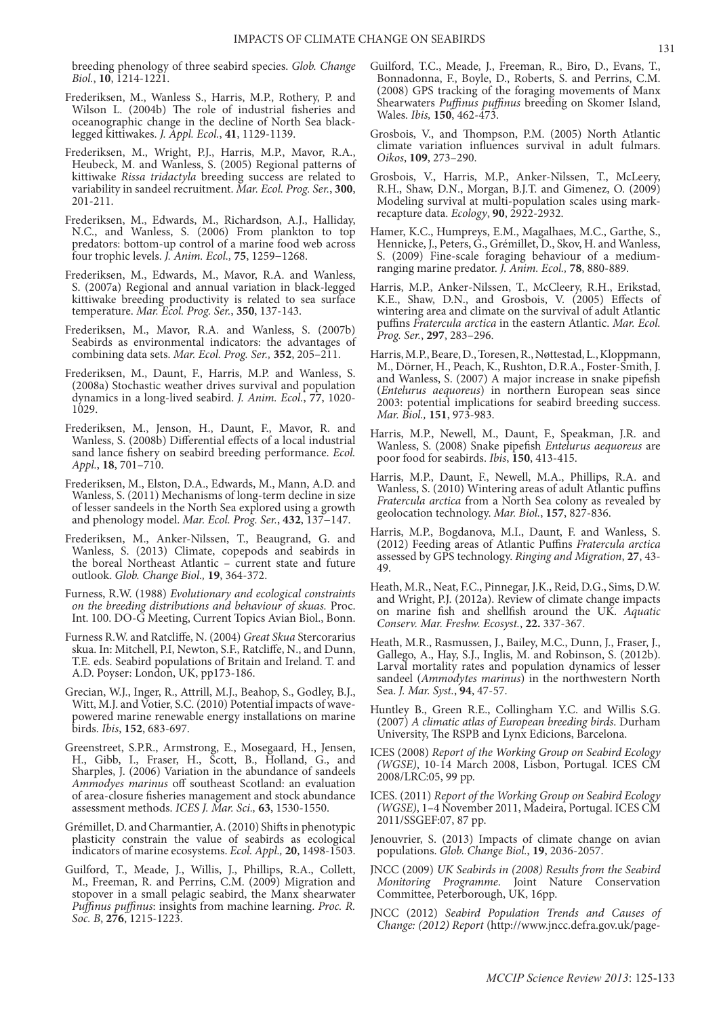breeding phenology of three seabird species. *Glob. Change Biol.*, **10**, 1214-1221.

- Frederiksen, M., Wanless S., Harris, M.P., Rothery, P. and Wilson L. (2004b) The role of industrial fisheries and oceanographic change in the decline of North Sea blacklegged kittiwakes. *J. Appl. Ecol.*, **41**, 1129-1139.
- Frederiksen, M., Wright, P.J., Harris, M.P., Mavor, R.A., Heubeck, M. and Wanless, S. (2005) Regional patterns of kittiwake *Rissa tridactyla* breeding success are related to variability in sandeel recruitment. *Mar. Ecol. Prog. Ser.*, **300**, 201-211.
- Frederiksen, M., Edwards, M., Richardson, A.J., Halliday, N.C., and Wanless, S. (2006) From plankton to top predators: bottom-up control of a marine food web across four trophic levels. *J. Anim. Ecol.,* **75**, 1259−1268.
- Frederiksen, M., Edwards, M., Mavor, R.A. and Wanless, S. (2007a) Regional and annual variation in black-legged kittiwake breeding productivity is related to sea surface temperature. *Mar. Ecol. Prog. Ser.*, **350**, 137-143.
- Frederiksen, M., Mavor, R.A. and Wanless, S. (2007b) Seabirds as environmental indicators: the advantages of combining data sets. *Mar. Ecol. Prog. Ser.,* **352**, 205–211.
- Frederiksen, M., Daunt, F., Harris, M.P. and Wanless, S. (2008a) Stochastic weather drives survival and population dynamics in a long-lived seabird. *J. Anim. Ecol.*, **77**, 1020- 1029.
- Frederiksen, M., Jenson, H., Daunt, F., Mavor, R. and Wanless, S. (2008b) Differential effects of a local industrial sand lance fishery on seabird breeding performance. *Ecol. Appl.*, **18**, 701–710.
- Frederiksen, M., Elston, D.A., Edwards, M., Mann, A.D. and Wanless, S. (2011) Mechanisms of long-term decline in size of lesser sandeels in the North Sea explored using a growth and phenology model. *Mar. Ecol. Prog. Ser.*, **432**, 137−147.
- Frederiksen, M., Anker-Nilssen, T., Beaugrand, G. and Wanless, S. (2013) Climate, copepods and seabirds in the boreal Northeast Atlantic – current state and future outlook. *Glob. Change Biol.,* **19**, 364-372.
- Furness, R.W. (1988) *Evolutionary and ecological constraints on the breeding distributions and behaviour of skuas.* Proc. Int. 100. DO-G Meeting, Current Topics Avian Biol., Bonn.
- Furness R.W. and Ratcliffe, N. (2004) *Great Skua* Stercorarius skua. In: Mitchell, P.I, Newton, S.F., Ratcliffe, N., and Dunn, T.E. eds. Seabird populations of Britain and Ireland. T. and A.D. Poyser: London, UK, pp173-186.
- Grecian, W.J., Inger, R., Attrill, M.J., Beahop, S., Godley, B.J., Witt, M.J. and Votier, S.C. (2010) Potential impacts of wavepowered marine renewable energy installations on marine birds. *Ibis*, **152**, 683-697.
- Greenstreet, S.P.R., Armstrong, E., Mosegaard, H., Jensen, H., Gibb, I., Fraser, H., Scott, B., Holland, G., and Sharples, J. (2006) Variation in the abundance of sandeels *Ammodyes marinus* off southeast Scotland: an evaluation of area-closure fisheries management and stock abundance assessment methods. *ICES J. Mar. Sci.,* **63**, 1530-1550.
- Grémillet, D. and Charmantier, A. (2010) Shifts in phenotypic plasticity constrain the value of seabirds as ecological indicators of marine ecosystems. *Ecol. Appl.,* **20**, 1498-1503.
- Guilford, T., Meade, J., Willis, J., Phillips, R.A., Collett, M., Freeman, R. and Perrins, C.M. (2009) Migration and stopover in a small pelagic seabird, the Manx shearwater *Puffinus puffinus*: insights from machine learning. *Proc. R. Soc. B*, **276**, 1215-1223.
- Guilford, T.C., Meade, J., Freeman, R., Biro, D., Evans, T., Bonnadonna, F., Boyle, D., Roberts, S. and Perrins, C.M. (2008) GPS tracking of the foraging movements of Manx Shearwaters *Puffinus puffinus* breeding on Skomer Island, Wales. *Ibis,* **150**, 462-473.
- Grosbois, V., and Thompson, P.M. (2005) North Atlantic climate variation influences survival in adult fulmars. *Oikos*, **109**, 273–290.
- Grosbois, V., Harris, M.P., Anker-Nilssen, T., McLeery, R.H., Shaw, D.N., Morgan, B.J.T. and Gimenez, O. (2009) Modeling survival at multi-population scales using markrecapture data. *Ecology*, **90**, 2922-2932.
- Hamer, K.C., Humpreys, E.M., Magalhaes, M.C., Garthe, S., Hennicke, J., Peters, G., Grémillet, D., Skov, H. and Wanless, S. (2009) Fine-scale foraging behaviour of a mediumranging marine predator. *J. Anim. Ecol.,* **78**, 880-889.
- Harris, M.P., Anker‐Nilssen, T., McCleery, R.H., Erikstad, K.E., Shaw, D.N., and Grosbois, V. (2005) Effects of wintering area and climate on the survival of adult Atlantic puffins *Fratercula arctica* in the eastern Atlantic. *Mar. Ecol. Prog. Ser.*, **297**, 283–296.
- Harris, M.P., Beare, D., Toresen, R., Nøttestad, L., Kloppmann, M., Dörner, H., Peach, K., Rushton, D.R.A., Foster-Smith, J. and Wanless, S. (2007) A major increase in snake pipefish (*Entelurus aequoreus*) in northern European seas since 2003: potential implications for seabird breeding success. *Mar. Biol.,* **151**, 973-983.
- Harris, M.P., Newell, M., Daunt, F., Speakman, J.R. and Wanless, S. (2008) Snake pipefish *Entelurus aequoreus* are poor food for seabirds. *Ibis*, **150**, 413-415.
- Harris, M.P., Daunt, F., Newell, M.A., Phillips, R.A. and Wanless, S. (2010) Wintering areas of adult Atlantic puffins *Fratercula arctica* from a North Sea colony as revealed by geolocation technology. *Mar. Biol.*, **157**, 827-836.
- Harris, M.P., Bogdanova, M.I., Daunt, F. and Wanless, S. (2012) Feeding areas of Atlantic Puffins *Fratercula arctica* assessed by GPS technology. *Ringing and Migration*, **27**, 43- 49.
- Heath, M.R., Neat, F.C., Pinnegar, J.K., Reid, D.G., Sims, D.W. and Wright, P.J. (2012a). Review of climate change impacts on marine fish and shellfish around the UK. *Aquatic Conserv. Mar. Freshw. Ecosyst.*, **22.** 337-367.
- Heath, M.R., Rasmussen, J., Bailey, M.C., Dunn, J., Fraser, J., Gallego, A., Hay, S.J., Inglis, M. and Robinson, S. (2012b). Larval mortality rates and population dynamics of lesser sandeel (*Ammodytes marinus*) in the northwestern North Sea. *J. Mar. Syst.*, **94**, 47-57.
- Huntley B., Green R.E., Collingham Y.C. and Willis S.G. (2007) *A climatic atlas of European breeding birds*. Durham University, The RSPB and Lynx Edicions, Barcelona.
- ICES (2008) *Report of the Working Group on Seabird Ecology (WGSE)*, 10‐14 March 2008, Lisbon, Portugal. ICES CM 2008/LRC:05, 99 pp.
- ICES. (2011) *Report of the Working Group on Seabird Ecology (WGSE)*, 1–4 November 2011, Madeira, Portugal. ICES CM 2011/SSGEF:07, 87 pp.
- Jenouvrier, S. (2013) Impacts of climate change on avian populations. *Glob. Change Biol.*, **19**, 2036-2057.
- JNCC (2009) *UK Seabirds in (2008) Results from the Seabird Monitoring Programme*. Joint Nature Conservation Committee, Peterborough, UK, 16pp.
- JNCC (2012) *Seabird Population Trends and Causes of Change: (2012) Report* (http://www.jncc.defra.gov.uk/page-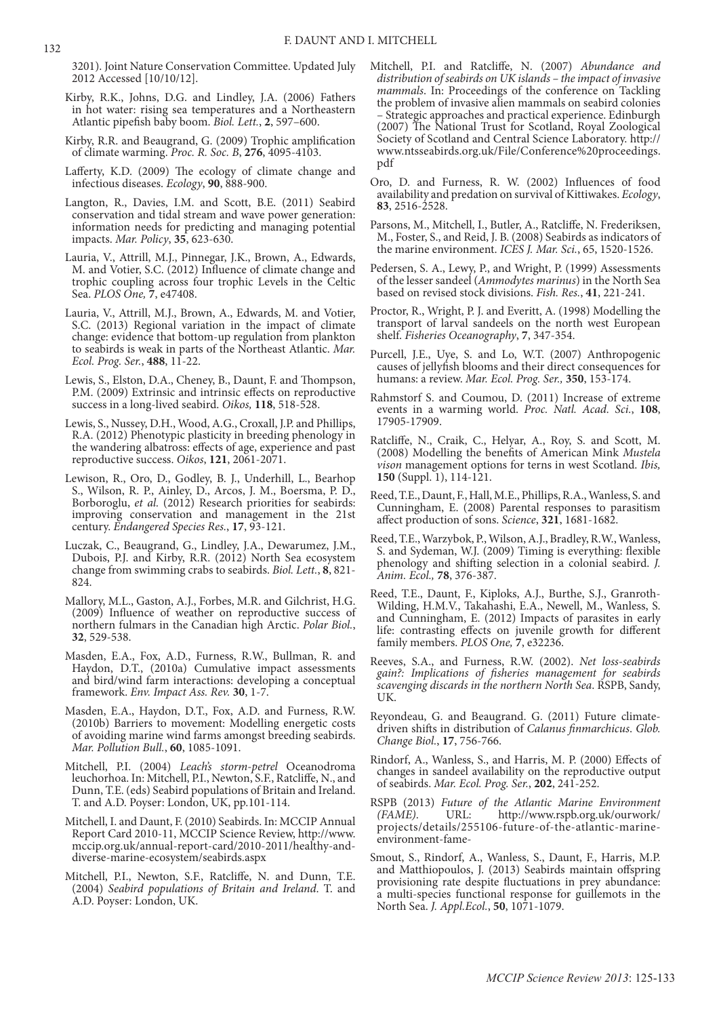3201). Joint Nature Conservation Committee. Updated July 2012 Accessed [10/10/12].

- Kirby, R.K., Johns, D.G. and Lindley, J.A. (2006) Fathers in hot water: rising sea temperatures and a Northeastern Atlantic pipefish baby boom. *Biol. Lett.*, **2**, 597–600.
- Kirby, R.R. and Beaugrand, G. (2009) Trophic amplification of climate warming. *Proc. R. Soc. B*, **276**, 4095-4103.
- Lafferty, K.D. (2009) The ecology of climate change and infectious diseases. *Ecology*, **90**, 888-900.
- Langton, R., Davies, I.M. and Scott, B.E. (2011) Seabird conservation and tidal stream and wave power generation: information needs for predicting and managing potential impacts. *Mar. Policy*, **35**, 623-630.
- Lauria, V., Attrill, M.J., Pinnegar, J.K., Brown, A., Edwards, M. and Votier, S.C. (2012) Influence of climate change and trophic coupling across four trophic Levels in the Celtic Sea. *PLOS One,* **7**, e47408.
- Lauria, V., Attrill, M.J., Brown, A., Edwards, M. and Votier, S.C. (2013) Regional variation in the impact of climate change: evidence that bottom-up regulation from plankton to seabirds is weak in parts of the Northeast Atlantic. *Mar. Ecol. Prog. Ser.*, **488**, 11-22.
- Lewis, S., Elston, D.A., Cheney, B., Daunt, F. and Thompson, P.M. (2009) Extrinsic and intrinsic effects on reproductive success in a long-lived seabird. *Oikos,* **118**, 518-528.
- Lewis, S., Nussey, D.H., Wood, A.G., Croxall, J.P. and Phillips, R.A. (2012) Phenotypic plasticity in breeding phenology in the wandering albatross: effects of age, experience and past reproductive success. *Oikos*, **121**, 2061-2071.
- Lewison, R., Oro, D., Godley, B. J., Underhill, L., Bearhop S., Wilson, R. P., Ainley, D., Arcos, J. M., Boersma, P. D., Borboroglu, *et al.* (2012) Research priorities for seabirds: improving conservation and management in the 21st century. *Endangered Species Res.*, **17**, 93-121.
- Luczak, C., Beaugrand, G., Lindley, J.A., Dewarumez, J.M., Dubois, P.J. and Kirby, R.R. (2012) North Sea ecosystem change from swimming crabs to seabirds. *Biol. Lett.*, **8**, 821- 824.
- Mallory, M.L., Gaston, A.J., Forbes, M.R. and Gilchrist, H.G. (2009) Influence of weather on reproductive success of northern fulmars in the Canadian high Arctic. *Polar Biol.*, **32**, 529-538.
- Masden, E.A., Fox, A.D., Furness, R.W., Bullman, R. and Haydon, D.T., (2010a) Cumulative impact assessments and bird/wind farm interactions: developing a conceptual framework. *Env. Impact Ass. Rev.* **30**, 1-7.
- Masden, E.A., Haydon, D.T., Fox, A.D. and Furness, R.W. (2010b) Barriers to movement: Modelling energetic costs of avoiding marine wind farms amongst breeding seabirds. *Mar. Pollution Bull.*, **60**, 1085-1091.
- Mitchell, P.I. (2004) *Leach's storm-petrel* Oceanodroma leuchorhoa. In: Mitchell, P.I., Newton, S.F., Ratcliffe, N., and Dunn, T.E. (eds) Seabird populations of Britain and Ireland. T. and A.D. Poyser: London, UK, pp.101-114.
- Mitchell, I. and Daunt, F. (2010) Seabirds. In: MCCIP Annual Report Card 2010-11, MCCIP Science Review, http://www. mccip.org.uk/annual-report-card/2010-2011/healthy-anddiverse-marine-ecosystem/seabirds.aspx
- Mitchell, P.I., Newton, S.F., Ratcliffe, N. and Dunn, T.E. (2004) *Seabird populations of Britain and Ireland*. T. and A.D. Poyser: London, UK.
- Mitchell, P.I. and Ratcliffe, N. (2007) *Abundance and distribution of seabirds on UK islands – the impact of invasive mammals*. In: Proceedings of the conference on Tackling the problem of invasive alien mammals on seabird colonies – Strategic approaches and practical experience. Edinburgh (2007) The National Trust for Scotland, Royal Zoological Society of Scotland and Central Science Laboratory. http:// www.ntsseabirds.org.uk/File/Conference%20proceedings. pdf
- Oro, D. and Furness, R. W. (2002) Influences of food availability and predation on survival of Kittiwakes. *Ecology*, **83**, 2516-2528.
- Parsons, M., Mitchell, I., Butler, A., Ratcliffe, N. Frederiksen, M., Foster, S., and Reid, J. B. (2008) Seabirds as indicators of the marine environment. *ICES J. Mar. Sci.*, 65, 1520-1526.
- Pedersen, S. A., Lewy, P., and Wright, P. (1999) Assessments of the lesser sandeel (*Ammodytes marinus*) in the North Sea based on revised stock divisions. *Fish. Res.*, **41**, 221-241.
- Proctor, R., Wright, P. J. and Everitt, A. (1998) Modelling the transport of larval sandeels on the north west European shelf. *Fisheries Oceanography*, **7**, 347-354.
- Purcell, J.E., Uye, S. and Lo, W.T. (2007) Anthropogenic causes of jellyfish blooms and their direct consequences for humans: a review. *Mar. Ecol. Prog. Ser.,* **350**, 153-174.
- Rahmstorf S. and Coumou, D. (2011) Increase of extreme events in a warming world. *Proc. Natl. Acad. Sci.*, **108**, 17905-17909.
- Ratcliffe, N., Craik, C., Helyar, A., Roy, S. and Scott, M. (2008) Modelling the benefits of American Mink *Mustela vison* management options for terns in west Scotland. *Ibis,* **150** (Suppl. 1), 114-121.
- Reed, T.E., Daunt, F., Hall, M.E., Phillips, R.A., Wanless, S. and Cunningham, E. (2008) Parental responses to parasitism affect production of sons. *Science*, **321**, 1681-1682.
- Reed, T.E., Warzybok, P., Wilson, A.J., Bradley, R.W., Wanless, S. and Sydeman, W.J. (2009) Timing is everything: flexible phenology and shifting selection in a colonial seabird. *J. Anim. Ecol.,* **78**, 376-387.
- Reed, T.E., Daunt, F., Kiploks, A.J., Burthe, S.J., Granroth-Wilding, H.M.V., Takahashi, E.A., Newell, M., Wanless, S. and Cunningham, E. (2012) Impacts of parasites in early life: contrasting effects on juvenile growth for different family members. *PLOS One,* **7**, e32236.
- Reeves, S.A., and Furness, R.W. (2002). *Net loss-seabirds gain?: Implications of fisheries management for seabirds scavenging discards in the northern North Sea*. RSPB, Sandy, UK.
- Reyondeau, G. and Beaugrand. G. (2011) Future climatedriven shifts in distribution of *Calanus finmarchicus*. *Glob. Change Biol.*, **17**, 756-766.
- Rindorf, A., Wanless, S., and Harris, M. P. (2000) Effects of changes in sandeel availability on the reproductive output of seabirds. *Mar. Ecol. Prog. Ser.*, **202**, 241-252.
- RSPB (2013) *Future of the Atlantic Marine Environment (FAME)*. URL: http://www.rspb.org.uk/ourwork/ projects/details/255106-future-of-the-atlantic-marineenvironment-fame-
- Smout, S., Rindorf, A., Wanless, S., Daunt, F., Harris, M.P. and Matthiopoulos, J. (2013) Seabirds maintain offspring provisioning rate despite fluctuations in prey abundance: a multi-species functional response for guillemots in the North Sea. *J. Appl.Ecol.*, **50**, 1071-1079.